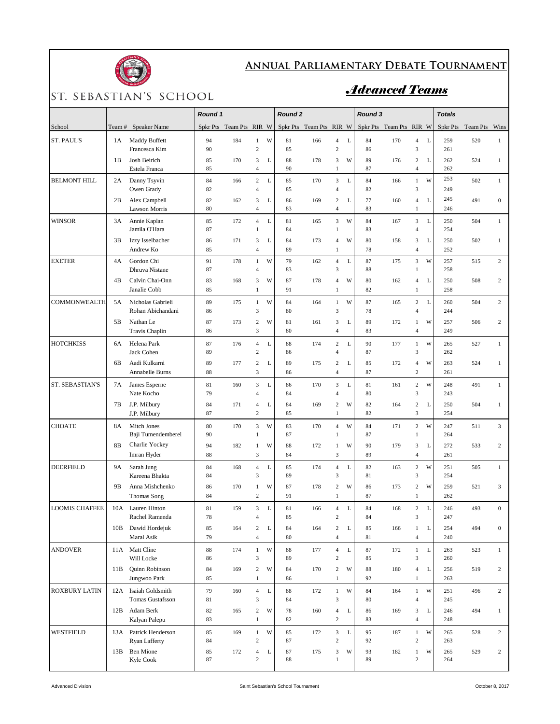

## **Annual Parliamentary Debate Tournament**

## ST. SEBASTIAN'S SCHOOL

## *Advanced Teams*

|                        |                |                                          | Round 1                 |     |                                  |   | <b>Round 2</b> |                         |                                         |             | Round 3                 |     |                                    |             | <b>Totals</b> |               |                  |
|------------------------|----------------|------------------------------------------|-------------------------|-----|----------------------------------|---|----------------|-------------------------|-----------------------------------------|-------------|-------------------------|-----|------------------------------------|-------------|---------------|---------------|------------------|
| School                 | Team #         | <b>Speaker Name</b>                      | Spkr Pts Team Pts RIR W |     |                                  |   |                | Spkr Pts Team Pts RIR W |                                         |             | Spkr Pts Team Pts RIR W |     |                                    |             | Spkr Pts      | Team Pts Wins |                  |
| <b>ST. PAUL'S</b>      | 1 A            | Maddy Buffett<br>Francesca Kim           | 94<br>90                | 184 | $\mathbf{1}$<br>$\overline{c}$   | W | 81<br>85       | 166                     | $\overline{4}$<br>$\overline{c}$        | L           | 84<br>86                | 170 | $\overline{4}$<br>$\mathfrak z$    | $\mathbf L$ | 259<br>261    | 520           | $\mathbf{1}$     |
|                        | 1B             | Josh Beirich<br>Estela Franca            | 85<br>85                | 170 | 3<br>$\overline{4}$              | L | 88<br>90       | 178                     | 3<br>$\mathbf{1}$                       | W           | 89<br>87                | 176 | $\boldsymbol{2}$<br>$\overline{4}$ | L           | 262<br>262    | 524           | $\mathbf{1}$     |
| <b>BELMONT HILL</b>    | 2A             | Danny Tsyvin<br>Owen Grady               | 84<br>82                | 166 | $\overline{c}$<br>$\overline{4}$ | L | 85<br>85       | 170                     | 3<br>$\overline{4}$                     | $\mathbf L$ | 84<br>82                | 166 | $\mathbf{1}$<br>$\overline{3}$     | W           | 253<br>249    | 502           | $\mathbf{1}$     |
|                        | 2В             | Alex Campbell<br><b>Lawson Morris</b>    | 82<br>80                | 162 | 3<br>$\overline{4}$              | L | 86<br>83       | 169                     | 2<br>$\overline{4}$                     | L           | 77<br>83                | 160 | $\overline{4}$<br>$\mathbf{1}$     | L           | 245<br>246    | 491           | $\mathbf{0}$     |
| <b>WINSOR</b>          | 3A             | Annie Kaplan<br>Jamila O'Hara            | 85<br>87                | 172 | $\overline{4}$<br>$\mathbf{1}$   | L | 81<br>84       | 165                     | $\overline{\mathbf{3}}$<br>$\mathbf{1}$ | W           | 84<br>83                | 167 | $\sqrt{3}$<br>$\overline{4}$       | $\mathbf L$ | 250<br>254    | 504           | $\mathbf{1}$     |
|                        | 3B             | Izzy Isselbacher<br>Andrew Ko            | 86<br>85                | 171 | 3<br>$\overline{4}$              | L | 84<br>89       | 173                     | 4<br>$\mathbf{1}$                       | W           | 80<br>78                | 158 | $\mathfrak z$<br>$\overline{4}$    | L           | 250<br>252    | 502           | $\mathbf{1}$     |
| <b>EXETER</b>          | 4A             | Gordon Chi<br>Dhruva Nistane             | 91<br>87                | 178 | $\mathbf{1}$<br>$\overline{4}$   | W | 79<br>83       | 162                     | $\overline{4}$<br>3                     | L           | 87<br>88                | 175 | 3<br>$\mathbf{1}$                  | W           | 257<br>258    | 515           | $\sqrt{2}$       |
|                        | 4B             | Calvin Chai-Onn<br>Janalie Cobb          | 83<br>85                | 168 | 3<br>1                           | W | 87<br>91       | 178                     | $\overline{4}$<br>$\mathbf{1}$          | W           | 80<br>82                | 162 | $\overline{4}$<br>$\mathbf{1}$     | L           | 250<br>258    | 508           | $\overline{c}$   |
| COMMONWEALTH           | 5A             | Nicholas Gabrieli<br>Rohan Abichandani   | 89<br>86                | 175 | $\mathbf{1}$<br>3                | W | 84<br>80       | 164                     | $\mathbf{1}$<br>3                       | W           | 87<br>78                | 165 | $\mathbf 2$<br>$\overline{4}$      | $\mathbf L$ | 260<br>244    | 504           | $\overline{c}$   |
|                        | 5B             | Nathan Le<br>Travis Chaplin              | 87<br>86                | 173 | $\sqrt{2}$<br>$\mathfrak{Z}$     | W | 81<br>80       | 161                     | 3<br>4                                  | L           | 89<br>83                | 172 | $\mathbf{1}$<br>$\overline{4}$     | W           | 257<br>249    | 506           | $\overline{c}$   |
| <b>HOTCHKISS</b>       | 6A             | Helena Park<br>Jack Cohen                | 87<br>89                | 176 | $\overline{4}$<br>$\overline{c}$ | L | 88<br>86       | 174                     | $\overline{c}$<br>$\overline{4}$        | $\mathbf L$ | 90<br>87                | 177 | $\mathbf{1}$<br>$\mathfrak{Z}$     | W           | 265<br>262    | 527           | $\mathbf{1}$     |
|                        | 6B             | Aadi Kulkarni<br>Annabelle Burns         | 89<br>88                | 177 | $\overline{c}$<br>3              | L | 89<br>86       | 175                     | $\overline{c}$<br>$\overline{4}$        | L           | 85<br>87                | 172 | $\overline{4}$<br>$\overline{c}$   | W           | 263<br>261    | 524           | $\mathbf{1}$     |
| <b>ST. SEBASTIAN'S</b> | 7A             | James Esperne<br>Nate Kocho              | 81<br>79                | 160 | 3<br>$\overline{4}$              | L | 86<br>84       | 170                     | 3<br>$\overline{4}$                     | $\mathbf L$ | 81<br>80                | 161 | $\,2$<br>3                         | W           | 248<br>243    | 491           | $\mathbf{1}$     |
|                        | 7В             | J.P. Milbury<br>J.P. Milbury             | 84<br>87                | 171 | $\overline{4}$<br>$\sqrt{2}$     | L | 84<br>85       | 169                     | $\overline{c}$<br>$\mathbf{1}$          | W           | 82<br>82                | 164 | $\sqrt{2}$<br>$\sqrt{3}$           | L           | 250<br>254    | 504           | $\mathbf{1}$     |
| <b>CHOATE</b>          | 8A             | Mitch Jones<br>Baji Tumendemberel        | 80<br>90                | 170 | 3<br>$\overline{1}$              | W | 83<br>87       | 170                     | 4<br>$\mathbf{1}$                       | W           | 84<br>87                | 171 | $\overline{c}$<br>$\mathbf{1}$     | W           | 247<br>264    | 511           | 3                |
|                        | 8B             | Charlie Yockey<br>Imran Hyder            | 94<br>88                | 182 | $\mathbf{1}$<br>$\mathfrak{Z}$   | W | 88<br>84       | 172                     | 1<br>3                                  | W           | 90<br>89                | 179 | $\mathfrak z$<br>$\overline{4}$    | L           | 272<br>261    | 533           | $\mathbf{2}$     |
| <b>DEERFIELD</b>       | <b>9A</b>      | Sarah Jung<br>Kareena Bhakta             | 84<br>84                | 168 | $\overline{4}$<br>$\mathfrak{Z}$ | L | 85<br>89       | 174                     | 4<br>3                                  | L           | 82<br>81                | 163 | $\,2$<br>$\mathfrak z$             | W           | 251<br>254    | 505           | $\mathbf{1}$     |
|                        | 9 <sub>B</sub> | Anna Mishchenko<br><b>Thomas Song</b>    | 86<br>84                | 170 | $\mathbf{1}$<br>$\sqrt{2}$       | W | 87<br>91       | 178                     | $\overline{c}$<br>$\mathbf{1}$          | W           | 86<br>87                | 173 | $\sqrt{2}$<br>$\mathbf{1}$         | W           | 259<br>262    | 521           | 3                |
| <b>LOOMIS CHAFFEE</b>  | 10A            | Lauren Hinton<br>Rachel Ramenda          | 81<br>78                | 159 | $\mathfrak{Z}$<br>4              | L | 81<br>85       | 166                     | $\overline{4}$<br>2                     | L           | 84<br>84                | 168 | $\boldsymbol{2}$<br>3              | L           | 246<br>247    | 493           | $\boldsymbol{0}$ |
|                        | 10B            | Dawid Hordejuk<br>Maral Asik             | 85<br>79                | 164 | $\sqrt{2}$<br>$\overline{4}$     | L | 84<br>80       | 164                     | $\overline{c}$<br>$\overline{4}$        | L           | 85<br>81                | 166 | $\mathbf{1}$<br>$\overline{4}$     | L           | 254<br>240    | 494           | $\mathbf{0}$     |
| <b>ANDOVER</b>         |                | 11A Matt Cline<br>Will Locke             | 88<br>86                | 174 | $\mathbf{1}$<br>$\mathfrak{Z}$   | W | 88<br>89       | 177                     | $\overline{4}$<br>$\overline{c}$        | $\mathbf L$ | 87<br>85                | 172 | $\,1\,$<br>$\mathfrak z$           | $\mathbf L$ | 263<br>260    | 523           | $\mathbf{1}$     |
|                        | 11B            | Quinn Robinson<br>Jungwoo Park           | 84<br>85                | 169 | $\sqrt{2}$<br>1                  | W | 84<br>86       | 170                     | $\overline{c}$<br>$\mathbf{1}$          | W           | 88<br>92                | 180 | $\overline{4}$<br>$\mathbf{1}$     | L           | 256<br>263    | 519           | $\overline{2}$   |
| <b>ROXBURY LATIN</b>   |                | 12A Isaiah Goldsmith<br>Tomas Gustafsson | 79<br>81                | 160 | $\overline{4}$<br>3              | L | 88<br>84       | 172                     | 1<br>$\mathfrak{Z}$                     | W           | 84<br>80                | 164 | $\,1\,$<br>$\overline{4}$          | W           | 251<br>245    | 496           | $\overline{2}$   |
|                        | 12B            | Adam Berk<br>Kalyan Palepu               | 82<br>83                | 165 | $\sqrt{2}$<br>$\mathbf{1}$       | W | 78<br>82       | 160                     | $\overline{4}$<br>$\overline{c}$        | L           | 86<br>83                | 169 | $\mathfrak{Z}$<br>$\overline{4}$   | L           | 246<br>248    | 494           | $\mathbf{1}$     |
| WESTFIELD              |                | 13A Patrick Henderson<br>Ryan Lafferty   | 85<br>84                | 169 | $\,1$<br>$\sqrt{2}$              | W | 85<br>87       | 172                     | $\mathfrak z$<br>$\overline{c}$         | $\mathbf L$ | 95<br>92                | 187 | $\,1\,$<br>$\,2$                   | W           | 265<br>263    | 528           | $\overline{2}$   |
|                        | 13B            | <b>Ben Mione</b><br>Kyle Cook            | 85<br>87                | 172 | $\overline{4}$<br>$\sqrt{2}$     | L | 87<br>88       | 175                     | $\mathfrak{Z}$<br>1                     | W           | 93<br>89                | 182 | $\mathbf{1}$<br>$\,2$              | W           | 265<br>264    | 529           | $\overline{2}$   |